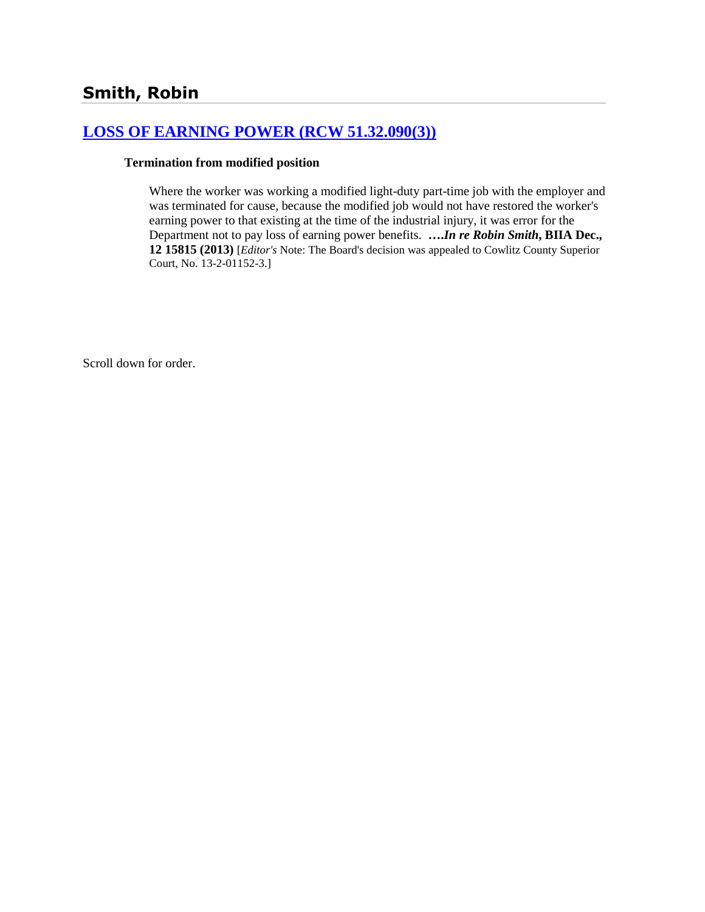# **[LOSS OF EARNING POWER \(RCW 51.32.090\(3\)\)](http://www.biia.wa.gov/SDSubjectIndex.html#LOSS_OF_EARNING_POWER)**

### **Termination from modified position**

Where the worker was working a modified light-duty part-time job with the employer and was terminated for cause, because the modified job would not have restored the worker's earning power to that existing at the time of the industrial injury, it was error for the Department not to pay loss of earning power benefits. **….***In re Robin Smith***, BIIA Dec., 12 15815 (2013)** [*Editor's* Note: The Board's decision was appealed to Cowlitz County Superior Court, No. 13-2-01152-3.]

Scroll down for order.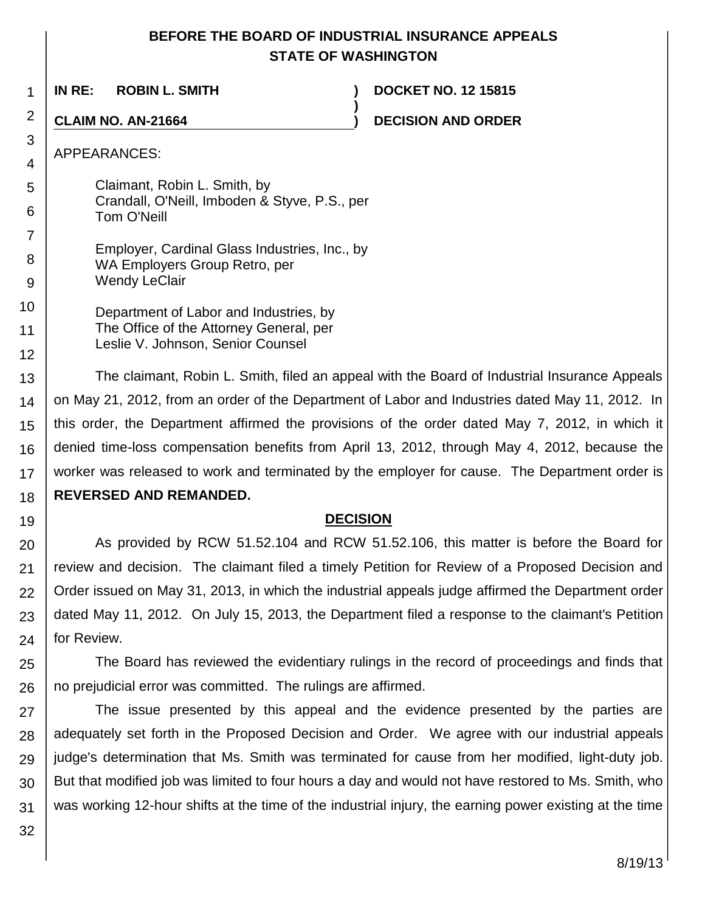## **BEFORE THE BOARD OF INDUSTRIAL INSURANCE APPEALS STATE OF WASHINGTON**

**)**

1 **IN RE: ROBIN L. SMITH ) DOCKET NO. 12 15815**

**CLAIM NO. AN-21664 ) DECISION AND ORDER**

APPEARANCES:

2

3

4

5

6

7

8 9

10

11

19

Claimant, Robin L. Smith, by Crandall, O'Neill, Imboden & Styve, P.S., per Tom O'Neill

Employer, Cardinal Glass Industries, Inc., by WA Employers Group Retro, per Wendy LeClair

12 Department of Labor and Industries, by The Office of the Attorney General, per Leslie V. Johnson, Senior Counsel

13 14 15 16 17 18 The claimant, Robin L. Smith, filed an appeal with the Board of Industrial Insurance Appeals on May 21, 2012, from an order of the Department of Labor and Industries dated May 11, 2012. In this order, the Department affirmed the provisions of the order dated May 7, 2012, in which it denied time-loss compensation benefits from April 13, 2012, through May 4, 2012, because the worker was released to work and terminated by the employer for cause. The Department order is **REVERSED AND REMANDED.**

### **DECISION**

20 21 22 23 24 As provided by RCW 51.52.104 and RCW 51.52.106, this matter is before the Board for review and decision. The claimant filed a timely Petition for Review of a Proposed Decision and Order issued on May 31, 2013, in which the industrial appeals judge affirmed the Department order dated May 11, 2012. On July 15, 2013, the Department filed a response to the claimant's Petition for Review.

25 26 The Board has reviewed the evidentiary rulings in the record of proceedings and finds that no prejudicial error was committed. The rulings are affirmed.

27 28 29 30 31 The issue presented by this appeal and the evidence presented by the parties are adequately set forth in the Proposed Decision and Order. We agree with our industrial appeals judge's determination that Ms. Smith was terminated for cause from her modified, light-duty job. But that modified job was limited to four hours a day and would not have restored to Ms. Smith, who was working 12-hour shifts at the time of the industrial injury, the earning power existing at the time

32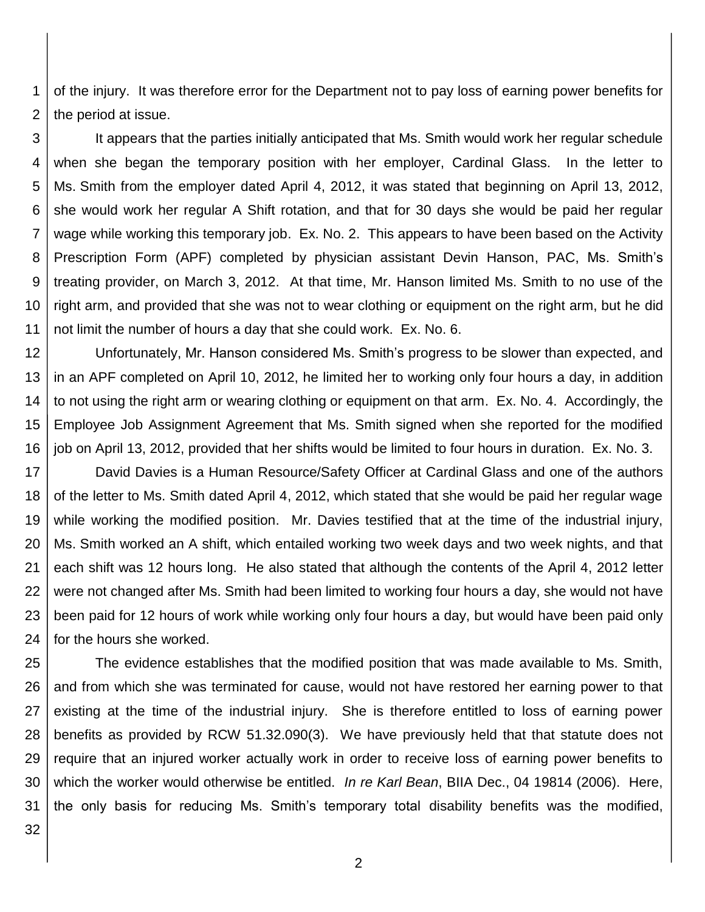1 2 of the injury. It was therefore error for the Department not to pay loss of earning power benefits for the period at issue.

3 4 5 6 7 8 9 10 11 It appears that the parties initially anticipated that Ms. Smith would work her regular schedule when she began the temporary position with her employer, Cardinal Glass. In the letter to Ms. Smith from the employer dated April 4, 2012, it was stated that beginning on April 13, 2012, she would work her regular A Shift rotation, and that for 30 days she would be paid her regular wage while working this temporary job. Ex. No. 2. This appears to have been based on the Activity Prescription Form (APF) completed by physician assistant Devin Hanson, PAC, Ms. Smith's treating provider, on March 3, 2012. At that time, Mr. Hanson limited Ms. Smith to no use of the right arm, and provided that she was not to wear clothing or equipment on the right arm, but he did not limit the number of hours a day that she could work. Ex. No. 6.

12 13 14 15 16 Unfortunately, Mr. Hanson considered Ms. Smith's progress to be slower than expected, and in an APF completed on April 10, 2012, he limited her to working only four hours a day, in addition to not using the right arm or wearing clothing or equipment on that arm. Ex. No. 4. Accordingly, the Employee Job Assignment Agreement that Ms. Smith signed when she reported for the modified job on April 13, 2012, provided that her shifts would be limited to four hours in duration. Ex. No. 3.

17 18 19 20 21 22 23 24 David Davies is a Human Resource/Safety Officer at Cardinal Glass and one of the authors of the letter to Ms. Smith dated April 4, 2012, which stated that she would be paid her regular wage while working the modified position. Mr. Davies testified that at the time of the industrial injury, Ms. Smith worked an A shift, which entailed working two week days and two week nights, and that each shift was 12 hours long. He also stated that although the contents of the April 4, 2012 letter were not changed after Ms. Smith had been limited to working four hours a day, she would not have been paid for 12 hours of work while working only four hours a day, but would have been paid only for the hours she worked.

25 26 27 28 29 30 31 The evidence establishes that the modified position that was made available to Ms. Smith, and from which she was terminated for cause, would not have restored her earning power to that existing at the time of the industrial injury. She is therefore entitled to loss of earning power benefits as provided by RCW 51.32.090(3). We have previously held that that statute does not require that an injured worker actually work in order to receive loss of earning power benefits to which the worker would otherwise be entitled. *In re Karl Bean*, BIIA Dec., 04 19814 (2006). Here, the only basis for reducing Ms. Smith's temporary total disability benefits was the modified,

32

2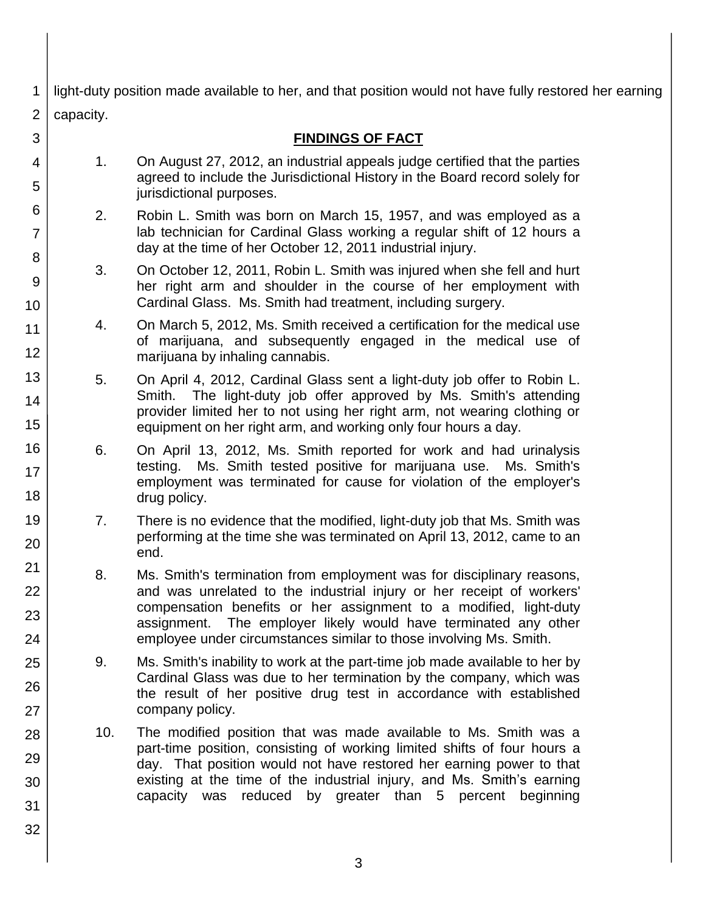| 1                          | light-duty position made available to her, and that position would not have fully restored her earning |                                                                                                                                                                                                                                                                                                                                                               |  |
|----------------------------|--------------------------------------------------------------------------------------------------------|---------------------------------------------------------------------------------------------------------------------------------------------------------------------------------------------------------------------------------------------------------------------------------------------------------------------------------------------------------------|--|
| $\overline{2}$             | capacity.                                                                                              |                                                                                                                                                                                                                                                                                                                                                               |  |
| 3                          |                                                                                                        | <b>FINDINGS OF FACT</b>                                                                                                                                                                                                                                                                                                                                       |  |
| 4<br>5                     | 1 <sub>1</sub>                                                                                         | On August 27, 2012, an industrial appeals judge certified that the parties<br>agreed to include the Jurisdictional History in the Board record solely for<br>jurisdictional purposes.                                                                                                                                                                         |  |
| 6<br>$\overline{7}$        | 2.                                                                                                     | Robin L. Smith was born on March 15, 1957, and was employed as a<br>lab technician for Cardinal Glass working a regular shift of 12 hours a<br>day at the time of her October 12, 2011 industrial injury.                                                                                                                                                     |  |
| 8<br>9<br>10               | 3.                                                                                                     | On October 12, 2011, Robin L. Smith was injured when she fell and hurt<br>her right arm and shoulder in the course of her employment with<br>Cardinal Glass. Ms. Smith had treatment, including surgery.                                                                                                                                                      |  |
| 11<br>12                   | 4.                                                                                                     | On March 5, 2012, Ms. Smith received a certification for the medical use<br>of marijuana, and subsequently engaged in the medical use of<br>marijuana by inhaling cannabis.                                                                                                                                                                                   |  |
| 13<br>14<br>15             | 5.                                                                                                     | On April 4, 2012, Cardinal Glass sent a light-duty job offer to Robin L.<br>The light-duty job offer approved by Ms. Smith's attending<br>Smith.<br>provider limited her to not using her right arm, not wearing clothing or<br>equipment on her right arm, and working only four hours a day.                                                                |  |
| 16<br>17<br>18             | 6.                                                                                                     | On April 13, 2012, Ms. Smith reported for work and had urinalysis<br>Ms. Smith tested positive for marijuana use. Ms. Smith's<br>testing.<br>employment was terminated for cause for violation of the employer's<br>drug policy.                                                                                                                              |  |
| 19<br>20                   | 7.                                                                                                     | There is no evidence that the modified, light-duty job that Ms. Smith was<br>performing at the time she was terminated on April 13, 2012, came to an<br>end.                                                                                                                                                                                                  |  |
| 21<br>22<br>23<br>24       | 8.                                                                                                     | Ms. Smith's termination from employment was for disciplinary reasons,<br>and was unrelated to the industrial injury or her receipt of workers'<br>compensation benefits or her assignment to a modified, light-duty<br>assignment. The employer likely would have terminated any other<br>employee under circumstances similar to those involving Ms. Smith.  |  |
| 25<br>26<br>27             | 9.                                                                                                     | Ms. Smith's inability to work at the part-time job made available to her by<br>Cardinal Glass was due to her termination by the company, which was<br>the result of her positive drug test in accordance with established<br>company policy.                                                                                                                  |  |
| 28<br>29<br>30<br>31<br>32 | 10.                                                                                                    | The modified position that was made available to Ms. Smith was a<br>part-time position, consisting of working limited shifts of four hours a<br>day. That position would not have restored her earning power to that<br>existing at the time of the industrial injury, and Ms. Smith's earning<br>capacity was reduced by greater than 5 percent<br>beginning |  |
|                            |                                                                                                        |                                                                                                                                                                                                                                                                                                                                                               |  |